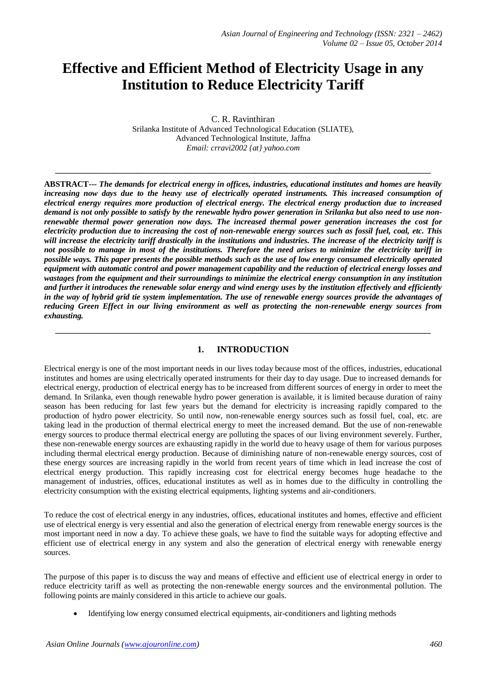# **Effective and Efficient Method of Electricity Usage in any Institution to Reduce Electricity Tariff**

C. R. Ravinthiran Srilanka Institute of Advanced Technological Education (SLIATE), Advanced Technological Institute, Jaffna *Email: crravi2002 {at} yahoo.com*

**\_\_\_\_\_\_\_\_\_\_\_\_\_\_\_\_\_\_\_\_\_\_\_\_\_\_\_\_\_\_\_\_\_\_\_\_\_\_\_\_\_\_\_\_\_\_\_\_\_\_\_\_\_\_\_\_\_\_\_\_\_\_\_\_\_\_\_\_\_\_\_\_\_\_\_\_\_\_\_\_\_\_\_\_\_\_\_\_\_\_\_\_**

**ABSTRACT---** *The demands for electrical energy in offices, industries, educational institutes and homes are heavily*  increasing now days due to the heavy use of electrically operated instruments. This increased consumption of *electrical energy requires more production of electrical energy. The electrical energy production due to increased demand is not only possible to satisfy by the renewable hydro power generation in Srilanka but also need to use nonrenewable thermal power generation now days. The increased thermal power generation increases the cost for electricity production due to increasing the cost of non-renewable energy sources such as fossil fuel, coal, etc. This will increase the electricity tariff drastically in the institutions and industries. The increase of the electricity tariff is not possible to manage in most of the institutions. Therefore the need arises to minimize the electricity tariff in possible ways. This paper presents the possible methods such as the use of low energy consumed electrically operated equipment with automatic control and power management capability and the reduction of electrical energy losses and wastages from the equipment and their surroundings to minimize the electrical energy consumption in any institution and further it introduces the renewable solar energy and wind energy uses by the institution effectively and efficiently in the way of hybrid grid tie system implementation. The use of renewable energy sources provide the advantages of reducing Green Effect in our living environment as well as protecting the non-renewable energy sources from exhausting.*

# **1. INTRODUCTION**

**\_\_\_\_\_\_\_\_\_\_\_\_\_\_\_\_\_\_\_\_\_\_\_\_\_\_\_\_\_\_\_\_\_\_\_\_\_\_\_\_\_\_\_\_\_\_\_\_\_\_\_\_\_\_\_\_\_\_\_\_\_\_\_\_\_\_\_\_\_\_\_\_\_\_\_\_\_\_\_\_\_\_\_\_\_\_\_\_\_\_\_\_**

Electrical energy is one of the most important needs in our lives today because most of the offices, industries, educational institutes and homes are using electrically operated instruments for their day to day usage. Due to increased demands for electrical energy, production of electrical energy has to be increased from different sources of energy in order to meet the demand. In Srilanka, even though renewable hydro power generation is available, it is limited because duration of rainy season has been reducing for last few years but the demand for electricity is increasing rapidly compared to the production of hydro power electricity. So until now, non-renewable energy sources such as fossil fuel, coal, etc. are taking lead in the production of thermal electrical energy to meet the increased demand. But the use of non-renewable energy sources to produce thermal electrical energy are polluting the spaces of our living environment severely. Further, these non-renewable energy sources are exhausting rapidly in the world due to heavy usage of them for various purposes including thermal electrical energy production. Because of diminishing nature of non-renewable energy sources, cost of these energy sources are increasing rapidly in the world from recent years of time which in lead increase the cost of electrical energy production. This rapidly increasing cost for electrical energy becomes huge headache to the management of industries, offices, educational institutes as well as in homes due to the difficulty in controlling the electricity consumption with the existing electrical equipments, lighting systems and air-conditioners.

To reduce the cost of electrical energy in any industries, offices, educational institutes and homes, effective and efficient use of electrical energy is very essential and also the generation of electrical energy from renewable energy sources is the most important need in now a day. To achieve these goals, we have to find the suitable ways for adopting effective and efficient use of electrical energy in any system and also the generation of electrical energy with renewable energy sources.

The purpose of this paper is to discuss the way and means of effective and efficient use of electrical energy in order to reduce electricity tariff as well as protecting the non-renewable energy sources and the environmental pollution. The following points are mainly considered in this article to achieve our goals.

Identifying low energy consumed electrical equipments, air-conditioners and lighting methods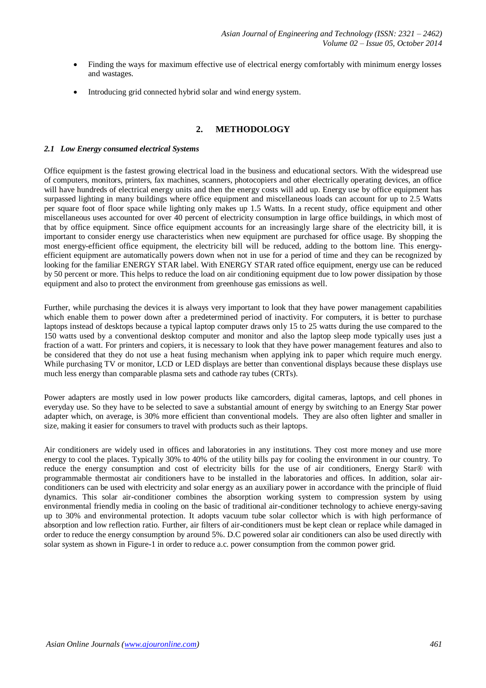- Finding the ways for maximum effective use of electrical energy comfortably with minimum energy losses and wastages.
- Introducing grid connected hybrid solar and wind energy system.

# **2. METHODOLOGY**

#### *2.1 Low Energy consumed electrical Systems*

Office equipment is the fastest growing electrical load in the business and educational sectors. With the widespread use of computers, monitors, printers, fax machines, scanners, photocopiers and other electrically operating devices, an office will have hundreds of electrical energy units and then the energy costs will add up. Energy use by office equipment has surpassed lighting in many buildings where office equipment and miscellaneous loads can account for up to 2.5 Watts per square foot of floor space while lighting only makes up 1.5 Watts. In a recent study, office equipment and other miscellaneous uses accounted for over 40 percent of electricity consumption in large office buildings, in which most of that by office equipment. Since office equipment accounts for an increasingly large share of the electricity bill, it is important to consider energy use characteristics when new equipment are purchased for office usage. By shopping the most energy-efficient office equipment, the electricity bill will be reduced, adding to the bottom line. This energyefficient equipment are automatically powers down when not in use for a period of time and they can be recognized by looking for the familiar ENERGY STAR label. With ENERGY STAR rated office equipment, energy use can be reduced by 50 percent or more. This helps to reduce the load on air conditioning equipment due to low power dissipation by those equipment and also to protect the environment from greenhouse gas emissions as well.

Further, while purchasing the devices it is always very important to look that they have power management capabilities which enable them to power down after a predetermined period of inactivity. For computers, it is better to purchase laptops instead of desktops because a typical laptop computer draws only 15 to 25 watts during the use compared to the 150 watts used by a conventional desktop computer and monitor and also the laptop sleep mode typically uses just a fraction of a watt. For printers and copiers, it is necessary to look that they have power management features and also to be considered that they do not use a heat fusing mechanism when applying ink to paper which require much energy. While purchasing TV or monitor, LCD or LED displays are better than conventional displays because these displays use much less energy than comparable plasma sets and cathode ray tubes (CRTs).

Power adapters are mostly used in low power products like camcorders, digital cameras, laptops, and cell phones in everyday use. So they have to be selected to save a substantial amount of energy by switching to an Energy Star power adapter which, on average, is 30% more efficient than conventional models. They are also often lighter and smaller in size, making it easier for consumers to travel with products such as their laptops.

Air conditioners are widely used in offices and laboratories in any institutions. They cost more money and use more energy to cool the places. Typically 30% to 40% of the utility bills pay for cooling the environment in our country. To reduce the energy consumption and cost of electricity bills for the use of air conditioners, Energy Star® with programmable thermostat air conditioners have to be installed in the laboratories and offices. In addition, solar airconditioners can be used with electricity and solar energy as an auxiliary power in accordance with the principle of fluid dynamics. This solar air-conditioner combines the absorption working system to compression system by using environmental friendly media in cooling on the basic of traditional air-conditioner technology to achieve energy-saving up to 30% and environmental protection. It adopts vacuum tube solar collector which is with high performance of absorption and low reflection ratio. Further, air filters of air-conditioners must be kept clean or replace while damaged in order to reduce the energy consumption by around 5%. D.C powered solar air conditioners can also be used directly with solar system as shown in Figure-1 in order to reduce a.c. power consumption from the common power grid.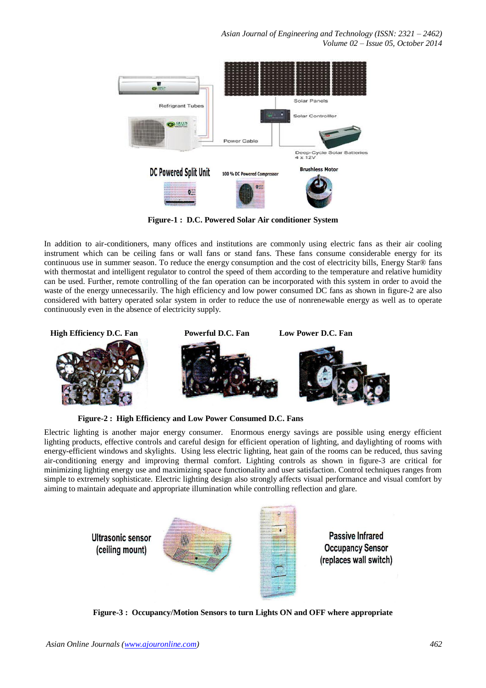*Asian Journal of Engineering and Technology (ISSN: 2321 – 2462) Volume 02 – Issue 05, October 2014*



**Figure-1 : D.C. Powered Solar Air conditioner System**

In addition to air-conditioners, many offices and institutions are commonly using electric fans as their air cooling instrument which can be ceiling fans or wall fans or stand fans. These fans consume considerable energy for its continuous use in summer season. To reduce the energy consumption and the cost of electricity bills, Energy Star® fans with thermostat and intelligent regulator to control the speed of them according to the temperature and relative humidity can be used. Further, remote controlling of the fan operation can be incorporated with this system in order to avoid the waste of the energy unnecessarily. The high efficiency and low power consumed DC fans as shown in figure-2 are also considered with battery operated solar system in order to reduce the use of nonrenewable energy as well as to operate continuously even in the absence of electricity supply.



**Figure-2 : High Efficiency and Low Power Consumed D.C. Fans** 

Electric lighting is another major energy consumer. Enormous energy savings are possible using energy efficient lighting products, effective controls and careful design for efficient operation of lighting, and daylighting of rooms with energy-efficient windows and skylights. Using less electric lighting, heat gain of the rooms can be reduced, thus saving air-conditioning energy and improving thermal comfort. Lighting controls as shown in figure-3 are critical for minimizing lighting energy use and maximizing space functionality and user satisfaction. Control techniques ranges from simple to extremely sophisticate. Electric lighting design also strongly affects visual performance and visual comfort by aiming to maintain adequate and appropriate illumination while controlling reflection and glare.



**Figure-3 : Occupancy/Motion Sensors to turn Lights ON and OFF where appropriate**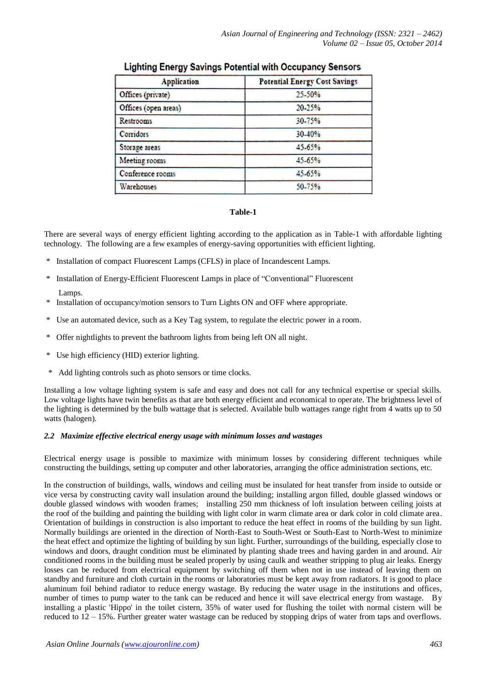| <b>Application</b>   | <b>Potential Energy Cost Savings</b> |
|----------------------|--------------------------------------|
| Offices (private)    | 25-50%                               |
| Offices (open areas) | 20.25%                               |
| <b>Restrooms</b>     | 30-75%                               |
| Corridors            | $30 - 40%$                           |
| Storage areas        | 45.65%                               |
| Meeting rooms        | 45-65%                               |
| Conference rooms     | 45.65%                               |
| <b>Warehouses</b>    | 50-75%                               |

# **Lighting Energy Savings Potential with Occupancy Sensors**

#### **Table-1**

There are several ways of energy efficient lighting according to the application as in Table-1 with affordable lighting technology. The following are a few examples of energy-saving opportunities with efficient lighting.

- \* Installation of compact Fluorescent Lamps (CFLS) in place of Incandescent Lamps.
- \* Installation of Energy-Efficient Fluorescent Lamps in place of "Conventional" Fluorescent Lamps.
- \* Installation of occupancy/motion sensors to Turn Lights ON and OFF where appropriate.
- \* Use an automated device, such as a Key Tag system, to regulate the electric power in a room.
- \* Offer nightlights to prevent the bathroom lights from being left ON all night.
- \* Use high efficiency (HID) exterior lighting.
- \* Add lighting controls such as photo sensors or time clocks.

Installing a low voltage lighting system is safe and easy and does not call for any technical expertise or special skills. Low voltage lights have twin benefits as that are both energy efficient and economical to operate. The brightness level of the lighting is determined by the bulb wattage that is selected. Available bulb wattages range right from 4 watts up to 50 watts (halogen).

#### *2.2 Maximize effective electrical energy usage with minimum losses and wastages*

Electrical energy usage is possible to maximize with minimum losses by considering different techniques while constructing the buildings, setting up computer and other laboratories, arranging the office administration sections, etc.

In the construction of buildings, walls, windows and ceiling must be insulated for heat transfer from inside to outside or vice versa by constructing cavity wall insulation around the building; installing argon filled, double glassed windows or double glassed windows with wooden frames; installing 250 mm thickness of loft insulation between ceiling joists at the roof of the building and painting the building with light color in warm climate area or dark color in cold climate area. Orientation of buildings in construction is also important to reduce the heat effect in rooms of the building by sun light. Normally buildings are oriented in the direction of North-East to South-West or South-East to North-West to minimize the heat effect and optimize the lighting of building by sun light. Further, surroundings of the building, especially close to windows and doors, draught condition must be eliminated by planting shade trees and having garden in and around. Air conditioned rooms in the building must be sealed properly by using caulk and weather stripping to plug air leaks. Energy losses can be reduced from electrical equipment by switching off them when not in use instead of leaving them on standby and furniture and cloth curtain in the rooms or laboratories must be kept away from radiators. It is good to place aluminum foil behind radiator to reduce energy wastage. By reducing the water usage in the institutions and offices, number of times to pump water to the tank can be reduced and hence it will save electrical energy from wastage. By installing a plastic 'Hippo' in the toilet cistern, 35% of water used for flushing the toilet with normal cistern will be reduced to 12 – 15%. Further greater water wastage can be reduced by stopping drips of water from taps and overflows.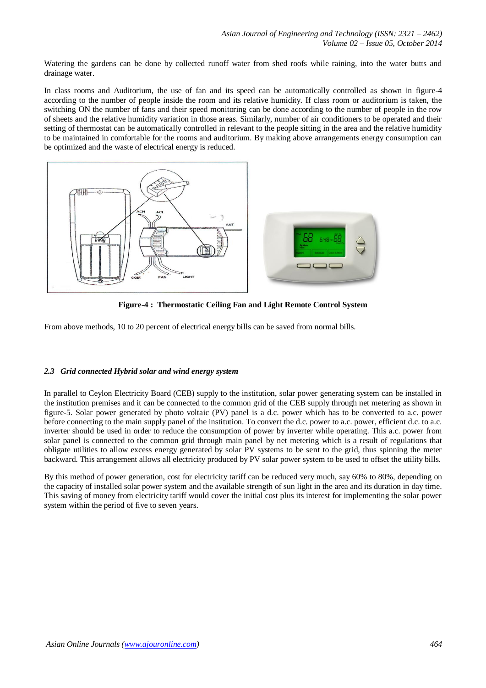Watering the gardens can be done by collected runoff water from shed roofs while raining, into the water butts and drainage water.

In class rooms and Auditorium, the use of fan and its speed can be automatically controlled as shown in figure-4 according to the number of people inside the room and its relative humidity. If class room or auditorium is taken, the switching ON the number of fans and their speed monitoring can be done according to the number of people in the row of sheets and the relative humidity variation in those areas. Similarly, number of air conditioners to be operated and their setting of thermostat can be automatically controlled in relevant to the people sitting in the area and the relative humidity to be maintained in comfortable for the rooms and auditorium. By making above arrangements energy consumption can be optimized and the waste of electrical energy is reduced.



**Figure-4 : Thermostatic Ceiling Fan and Light Remote Control System**

From above methods, 10 to 20 percent of electrical energy bills can be saved from normal bills.

# *2.3 Grid connected Hybrid solar and wind energy system*

In parallel to Ceylon Electricity Board (CEB) supply to the institution, solar power generating system can be installed in the institution premises and it can be connected to the common grid of the CEB supply through net metering as shown in figure-5. Solar power generated by photo voltaic (PV) panel is a d.c. power which has to be converted to a.c. power before connecting to the main supply panel of the institution. To convert the d.c. power to a.c. power, efficient d.c. to a.c. inverter should be used in order to reduce the consumption of power by inverter while operating. This a.c. power from solar panel is connected to the common grid through main panel by net metering which is a result of regulations that obligate utilities to allow excess energy generated by solar PV systems to be sent to the grid, thus spinning the meter backward. This arrangement allows all electricity produced by PV solar power system to be used to offset the utility bills.

By this method of power generation, cost for electricity tariff can be reduced very much, say 60% to 80%, depending on the capacity of installed solar power system and the available strength of sun light in the area and its duration in day time. This saving of money from electricity tariff would cover the initial cost plus its interest for implementing the solar power system within the period of five to seven years.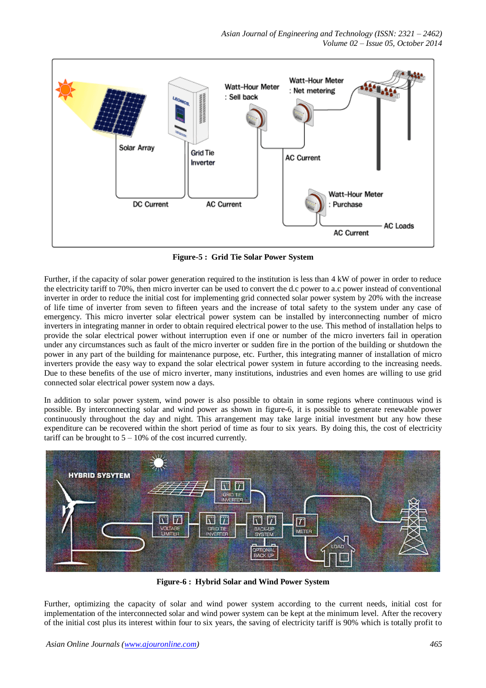

**Figure-5 : Grid Tie Solar Power System**

Further, if the capacity of solar power generation required to the institution is less than 4 kW of power in order to reduce the electricity tariff to 70%, then micro inverter can be used to convert the d.c power to a.c power instead of conventional inverter in order to reduce the initial cost for implementing grid connected solar power system by 20% with the increase of life time of inverter from seven to fifteen years and the increase of total safety to the system under any case of emergency. This micro inverter solar electrical power system can be installed by interconnecting number of micro inverters in integrating manner in order to obtain required electrical power to the use. This method of installation helps to provide the solar electrical power without interruption even if one or number of the micro inverters fail in operation under any circumstances such as fault of the micro inverter or sudden fire in the portion of the building or shutdown the power in any part of the building for maintenance purpose, etc. Further, this integrating manner of installation of micro inverters provide the easy way to expand the solar electrical power system in future according to the increasing needs. Due to these benefits of the use of micro inverter, many institutions, industries and even homes are willing to use grid connected solar electrical power system now a days.

In addition to solar power system, wind power is also possible to obtain in some regions where continuous wind is possible. By interconnecting solar and wind power as shown in figure-6, it is possible to generate renewable power continuously throughout the day and night. This arrangement may take large initial investment but any how these expenditure can be recovered within the short period of time as four to six years. By doing this, the cost of electricity tariff can be brought to  $5 - 10\%$  of the cost incurred currently.



**Figure-6 : Hybrid Solar and Wind Power System**

Further, optimizing the capacity of solar and wind power system according to the current needs, initial cost for implementation of the interconnected solar and wind power system can be kept at the minimum level. After the recovery of the initial cost plus its interest within four to six years, the saving of electricity tariff is 90% which is totally profit to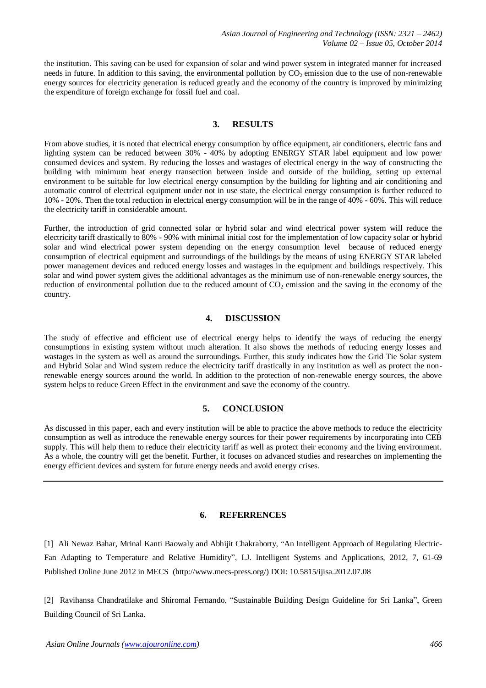the institution. This saving can be used for expansion of solar and wind power system in integrated manner for increased needs in future. In addition to this saving, the environmental pollution by  $CO<sub>2</sub>$  emission due to the use of non-renewable energy sources for electricity generation is reduced greatly and the economy of the country is improved by minimizing the expenditure of foreign exchange for fossil fuel and coal.

#### **3. RESULTS**

From above studies, it is noted that electrical energy consumption by office equipment, air conditioners, electric fans and lighting system can be reduced between 30% - 40% by adopting ENERGY STAR label equipment and low power consumed devices and system. By reducing the losses and wastages of electrical energy in the way of constructing the building with minimum heat energy transection between inside and outside of the building, setting up external environment to be suitable for low electrical energy consumption by the building for lighting and air conditioning and automatic control of electrical equipment under not in use state, the electrical energy consumption is further reduced to 10% - 20%. Then the total reduction in electrical energy consumption will be in the range of 40% - 60%. This will reduce the electricity tariff in considerable amount.

Further, the introduction of grid connected solar or hybrid solar and wind electrical power system will reduce the electricity tariff drastically to 80% - 90% with minimal initial cost for the implementation of low capacity solar or hybrid solar and wind electrical power system depending on the energy consumption level because of reduced energy consumption of electrical equipment and surroundings of the buildings by the means of using ENERGY STAR labeled power management devices and reduced energy losses and wastages in the equipment and buildings respectively. This solar and wind power system gives the additional advantages as the minimum use of non-renewable energy sources, the reduction of environmental pollution due to the reduced amount of  $CO<sub>2</sub>$  emission and the saving in the economy of the country.

#### **4. DISCUSSION**

The study of effective and efficient use of electrical energy helps to identify the ways of reducing the energy consumptions in existing system without much alteration. It also shows the methods of reducing energy losses and wastages in the system as well as around the surroundings. Further, this study indicates how the Grid Tie Solar system and Hybrid Solar and Wind system reduce the electricity tariff drastically in any institution as well as protect the nonrenewable energy sources around the world. In addition to the protection of non-renewable energy sources, the above system helps to reduce Green Effect in the environment and save the economy of the country.

#### **5. CONCLUSION**

As discussed in this paper, each and every institution will be able to practice the above methods to reduce the electricity consumption as well as introduce the renewable energy sources for their power requirements by incorporating into CEB supply. This will help them to reduce their electricity tariff as well as protect their economy and the living environment. As a whole, the country will get the benefit. Further, it focuses on advanced studies and researches on implementing the energy efficient devices and system for future energy needs and avoid energy crises.

### **6. REFERRENCES**

[1] Ali Newaz Bahar, Mrinal Kanti Baowaly and Abhijit Chakraborty, "An Intelligent Approach of Regulating Electric-Fan Adapting to Temperature and Relative Humidity", I.J. Intelligent Systems and Applications, 2012, 7, 61-69 Published Online June 2012 in MECS (http://www.mecs-press.org/) DOI: 10.5815/ijisa.2012.07.08

[2] Ravihansa Chandratilake and Shiromal Fernando, "Sustainable Building Design Guideline for Sri Lanka", Green Building Council of Sri Lanka.